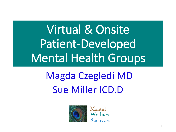# Virtual & Onsite Patient-Developed Mental Health Groups

# Magda Czegledi MD Sue Miller ICD.D



Mental Wellness Recovery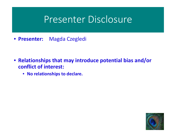### Presenter Disclosure

• **Presenter:** Magda Czegledi

- **Relationships that may introduce potential bias and/or conflict of interest:**
	- **No relationships to declare.**

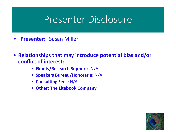### Presenter Disclosure

- **Presenter:** Susan Miller
- **Relationships that may introduce potential bias and/or conflict of interest:**
	- **Grants/Research Support:** N/A
	- **Speakers Bureau/Honoraria:** N/A
	- **Consulting Fees:** N/A
	- **Other: The Litebook Company**

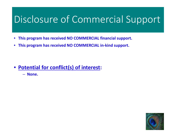## Disclosure of Commercial Support

- **This program has received NO COMMERCIAL financial support.**
- **This program has received NO COMMERCIAL in-kind support.**

- **Potential for conflict(s) of interest:**
	- **None.**

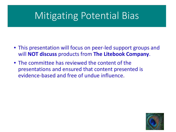## Mitigating Potential Bias

- This presentation will focus on peer-led support groups and will **NOT discuss** products from **The Litebook Company**.
- The committee has reviewed the content of the presentations and ensured that content presented is evidence-based and free of undue influence.

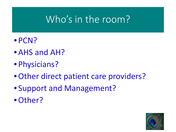## Who's in the room?

- PCN?
- AHS and AH?
- Physicians?
- Other direct patient care providers?
- Support and Management?
- •Other?

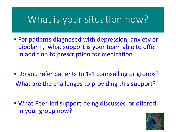## What is your situation now?

- For patients diagnosed with depression, anxiety or bipolar II, what support is your team able to offer in addition to prescription for medication?
- Do you refer patients to 1-1 counselling or groups? What are the challenges to providing this support?
- What Peer-led support being discussed or offered in your group now?

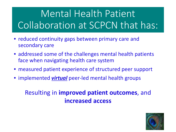# Mental Health Patient Collaboration at SCPCN that has:

- reduced continuity gaps between primary care and secondary care
- addressed some of the challenges mental health patients face when navigating health care system
- measured patient experience of structured peer support
- implemented *virtual* peer-led mental health groups

#### Resulting in **improved patient outcomes**, and **increased access**

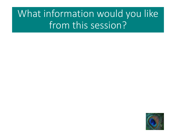## What information would you like from this session?

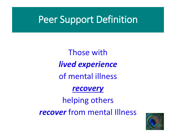## Peer Support Definition

Those with *lived experience*  of mental illness

#### *recovery*

helping others *recover* from mental Illness

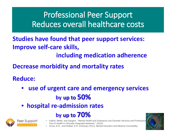#### Professional Peer Support Reduces overall healthcare costs

**Studies have found that peer support services: Improve self-care skills, including medication adherence**

**Decrease morbidity and mortality rates**

**Reduce:**

- **use of urgent care and emergency services by up to 50%**
- **hospital re-admission rates**

 **by up to 70%**



- Kathol, Melek, and Sargent: "Mental Health and Substance Use Disorder Services and Professional Part of Health in Clinically Integrated Networks." (2015)
- Druss, B.G., and Walker, E.R. (February 2011). Mental Disorders and Medical Comorbidity

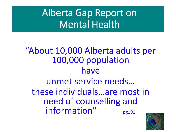## Alberta Gap Report on Mental Health

## "About 10,000 Alberta adults per 100,000 population have unmet service needs… these individuals…are most in need of counselling and information" pg191

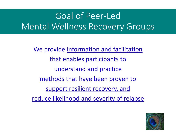## Goal of Peer-Led Mental Wellness Recovery Groups

We provide information and facilitation that enables participants to understand and practice methods that have been proven to support resilient recovery, and reduce likelihood and severity of relapse

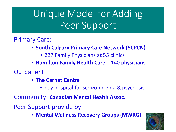## Unique Model for Adding Peer Support

#### Primary Care:

- **South Calgary Primary Care Network (SCPCN)**
	- 227 Family Physicians at 55 clinics
- **Hamilton Family Health Care** 140 physicians
- Outpatient:
	- **The Carnat Centre**
		- day hospital for schizophrenia & psychosis

Community: **Canadian Mental Health Assoc.** 

Peer Support provide by:

• **Mental Wellness Recovery Groups (MWRG)** 

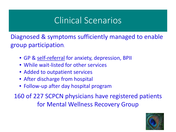### Clinical Scenarios

Diagnosed & symptoms sufficiently managed to enable group participation.

- GP & self-referral for anxiety, depression, BPII
- While wait-listed for other services
- Added to outpatient services
- After discharge from hospital
- Follow-up after day hospital program

160 of 227 SCPCN physicians have registered patients for Mental Wellness Recovery Group

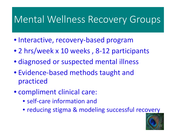## Mental Wellness Recovery Groups

- Interactive, recovery-based program
- 2 hrs/week x 10 weeks , 8-12 participants
- diagnosed or suspected mental illness
- Evidence-based methods taught and practiced
- compliment clinical care:
	- self-care information and
	- reducing stigma & modeling successful recovery

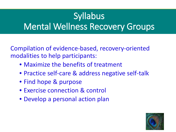## **Syllabus** Mental Wellness Recovery Groups

Compilation of evidence-based, recovery-oriented modalities to help participants:

- Maximize the benefits of treatment
- Practice self-care & address negative self-talk
- Find hope & purpose
- Exercise connection & control
- Develop a personal action plan

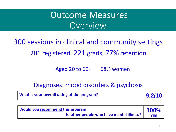**Participant Data Continue Measures** Overview

300 sessions in clinical and community settings 286 registered, 221 grads, 77% retention

Aged 20 to 60+ 68% women

Diagnoses: mood disorders & psychosis

| What is your overall rating of the program? | 9.2/10 |
|---------------------------------------------|--------|
|---------------------------------------------|--------|

| <b>Nould you recommend this program</b>  | <b>100%</b> |
|------------------------------------------|-------------|
| to other people who have mental illness? | <b>YES</b>  |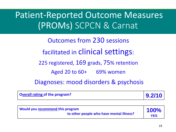#### Participant Participan Patient-Reported Outcome Measures (PROMs) SCPCN & Carnat

Outcomes from 230 sessions facilitated in clinical settings: 225 registered, 169 grads, 75% retention Aged 20 to 60+ 69% women

Diagnoses: mood disorders & psychosis

| Overall rating of the program? | 9.2/10 |
|--------------------------------|--------|
|--------------------------------|--------|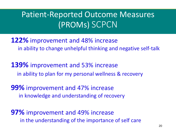#### Participant Data Patient-Reported Outcome Measures (PROMs) SCPCN

**122%** improvement and 48% increase in ability to change unhelpful thinking and negative self-talk

**139%** improvement and 53% increase in ability to plan for my personal wellness & recovery

**99%** improvement and 47% increase in knowledge and understanding of recovery

**97%** improvement and 49% increase in the understanding of the importance of self care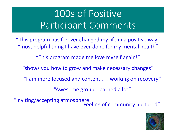## 100s of Positive Participant Comments

"This program has forever changed my life in a positive way" "most helpful thing I have ever done for my mental health"

"This program made me love myself again!"

"shows you how to grow and make necessary changes"

"I am more focused and content . . . working on recovery"

"Awesome group. Learned a lot"

"Inviting/accepting atmosphere. Feeling of community nurtured"

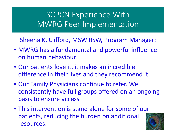#### SCPCN Experience With MWRG Peer Implementation

Sheena K. Clifford, MSW RSW, Program Manager:

- MWRG has a fundamental and powerful influence on human behaviour.
- Our patients love it, it makes an incredible difference in their lives and they recommend it.
- Our Family Physicians continue to refer. We consistently have full groups offered on an ongoing basis to ensure access
- This intervention is stand alone for some of our patients, reducing the burden on additional resources. And the set of the set of the set of the set of the set of the set of the set of the set of the set of the set of the set of the set of the set of the set of the set of the set of the set of the set of the set o

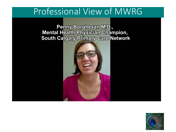#### Professional View of MWRG

Penny Borghesan M.D., **Mental Health Physician Champion, South Calgary Primary Care Network** 



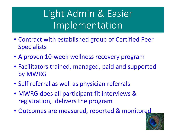Light Admin & Easier Implementation

- Contract with established group of Certified Peer **Specialists**
- A proven 10-week wellness recovery program
- Facilitators trained, managed, paid and supported by MWRG
- Self referral as well as physician referrals
- MWRG does all participant fit interviews & registration, delivers the program
- Outcomes are measured, reported & monitored

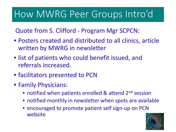## How MWRG Peer Groups Intro'd

Quote from S. Clifford - Program Mgr SCPCN:

- Posters created and distributed to all clinics, article written by MWRG in newsletter
- list of patients who could benefit issued, and referrals increased.
- facilitators presented to PCN
- Family Physicians:
	- notified when patients enrolled & attend 2<sup>nd</sup> session
	- notified monthly in newsletter when spots are available
	- encouraged to promote patient self sign-up on PCN website

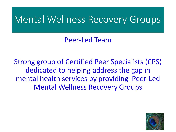### Mental Wellness Recovery Groups

Peer-Led Team

Strong group of Certified Peer Specialists (CPS) dedicated to helping address the gap in mental health services by providing Peer-Led Mental Wellness Recovery Groups

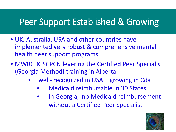### Peer Support Established & Growing

- UK, Australia, USA and other countries have implemented very robust & comprehensive mental health peer support programs
- MWRG & SCPCN levering the Certified Peer Specialist (Georgia Method) training in Alberta
	- well- recognized in USA growing in Cda
		- Medicaid reimbursable in 30 States
		- In Georgia, no Medicaid reimbursement without a Certified Peer Specialist

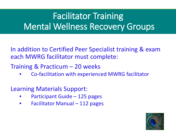## Facilitator Training Mental Wellness Recovery Groups

In addition to Certified Peer Specialist training & exam each MWRG facilitator must complete:

Training & Practicum – 20 weeks

• Co-facilitation with experienced MWRG facilitator

Learning Materials Support:

- Participant Guide 125 pages
- Facilitator Manual 112 pages

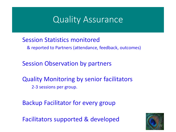#### Quality Assurance

#### Session Statistics monitored

& reported to Partners (attendance, feedback, outcomes)

Session Observation by partners

Quality Monitoring by senior facilitators 2-3 sessions per group.

Backup Facilitator for every group

Facilitators supported & developed

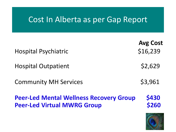#### Cost In Alberta as per Gap Report

| <b>Hospital Psychiatric</b>                                                          | <b>Avg Cost</b><br>\$16,239 |
|--------------------------------------------------------------------------------------|-----------------------------|
| <b>Hospital Outpatient</b>                                                           | \$2,629                     |
| <b>Community MH Services</b>                                                         | \$3,961                     |
| <b>Peer-Led Mental Wellness Recovery Group</b><br><b>Peer-Led Virtual MWRG Group</b> | \$430<br>\$260              |

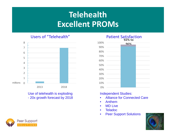#### **Telehealth Excellent PROMs**

Users of "Telehealth"



Use of telehealth is exploding - 20x growth forecast by 2018



#### Independent Studies:

- Alliance for Connected Care
- Anthem
- MD Live
- Teladoc
- Peer Support Solutions



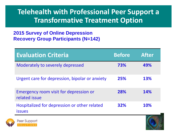#### **Telehealth with Professional Peer Support a Transformative Treatment Option**

#### **2015 Survey of Online Depression Recovery Group Participants (N=142)**

| <b>Evaluation Criteria</b>                                    | <b>Before</b> | <b>After</b> |
|---------------------------------------------------------------|---------------|--------------|
| Moderately to severely depressed                              | 73%           | 49%          |
| Urgent care for depression, bipolar or anxiety                | 25%           | <b>13%</b>   |
| Emergency room visit for depression or<br>related issue       | 28%           | <b>14%</b>   |
| Hospitalized for depression or other related<br><i>issues</i> | <b>32%</b>    | <b>10%</b>   |



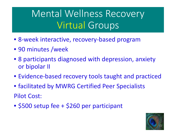## Mental Wellness Recovery Virtual Groups

- 8-week interactive, recovery-based program
- 90 minutes /week
- 8 participants diagnosed with depression, anxiety or bipolar II
- Evidence-based recovery tools taught and practiced
- facilitated by MWRG Certified Peer Specialists Pilot Cost:
- \$500 setup fee + \$260 per participant

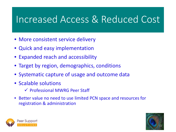## Increased Access & Reduced Cost

- More consistent service delivery
- Quick and easy implementation
- Expanded reach and accessibility
- Target by region, demographics, conditions
- Systematic capture of usage and outcome data
- Scalable solutions
	- Professional MWRG Peer Staff
- Better value no need to use limited PCN space and resources for registration & administration



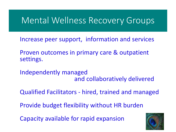#### Mental Wellness Recovery Groups

Increase peer support, information and services

Proven outcomes in primary care & outpatient settings.

Independently managed and collaboratively delivered

Qualified Facilitators - hired, trained and managed

Provide budget flexibility without HR burden

Capacity available for rapid expansion

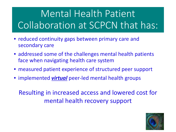# Mental Health Patient Collaboration at SCPCN that has:

- reduced continuity gaps between primary care and secondary care
- addressed some of the challenges mental health patients face when navigating health care system
- measured patient experience of structured peer support
- implemented *virtual* peer-led mental health groups

Resulting in increased access and lowered cost for mental health recovery support